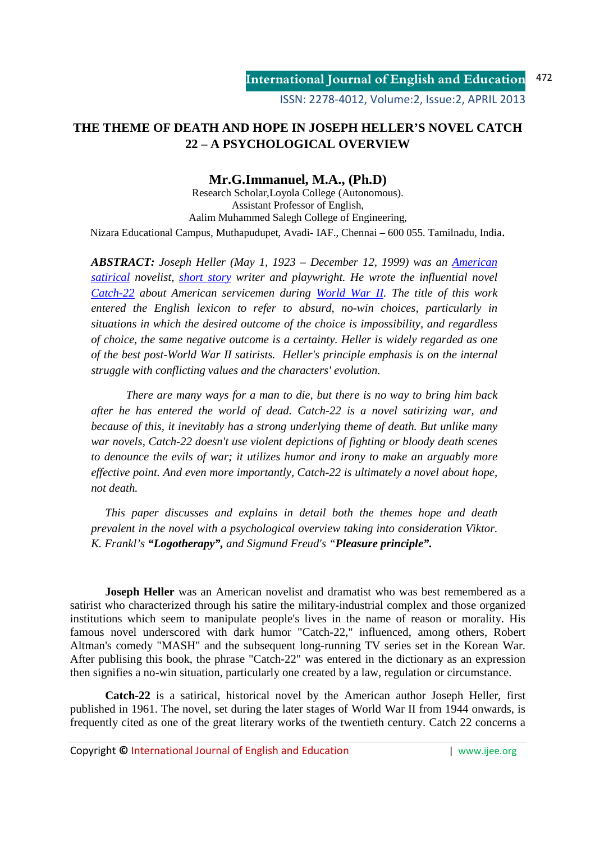# **THE THEME OF DEATH AND HOPE IN JOSEPH HELLER'S NOVEL CATCH 22 – A PSYCHOLOGICAL OVERVIEW**

# **Mr.G.Immanuel, M.A., (Ph.D)**

Research Scholar,Loyola College (Autonomous). Assistant Professor of English, Aalim Muhammed Salegh College of Engineering, Nizara Educational Campus, Muthapudupet, Avadi- IAF., Chennai – 600 055. Tamilnadu, India.

*ABSTRACT: Joseph Heller (May 1, 1923 – December 12, 1999) was an American satirical novelist, short story writer and playwright. He wrote the influential novel Catch-22 about American servicemen during World War II. The title of this work entered the English lexicon to refer to absurd, no-win choices, particularly in situations in which the desired outcome of the choice is impossibility, and regardless of choice, the same negative outcome is a certainty. Heller is widely regarded as one of the best post-World War II satirists. Heller's principle emphasis is on the internal struggle with conflicting values and the characters' evolution.* 

*There are many ways for a man to die, but there is no way to bring him back after he has entered the world of dead. Catch-22 is a novel satirizing war, and because of this, it inevitably has a strong underlying theme of death. But unlike many war novels, Catch-22 doesn't use violent depictions of fighting or bloody death scenes to denounce the evils of war; it utilizes humor and irony to make an arguably more effective point. And even more importantly, Catch-22 is ultimately a novel about hope, not death.* 

 *This paper discusses and explains in detail both the themes hope and death prevalent in the novel with a psychological overview taking into consideration Viktor. K. Frankl's "Logotherapy", and Sigmund Freud's "Pleasure principle".* 

**Joseph Heller** was an American novelist and dramatist who was best remembered as a satirist who characterized through his satire the military-industrial complex and those organized institutions which seem to manipulate people's lives in the name of reason or morality. His famous novel underscored with dark humor "Catch-22," influenced, among others, Robert Altman's comedy "MASH" and the subsequent long-running TV series set in the Korean War. After publising this book, the phrase "Catch-22" was entered in the dictionary as an expression then signifies a no-win situation, particularly one created by a law, regulation or circumstance.

**Catch-22** is a satirical, historical novel by the American author Joseph Heller, first published in 1961. The novel, set during the later stages of World War II from 1944 onwards, is frequently cited as one of the great literary works of the twentieth century. Catch 22 concerns a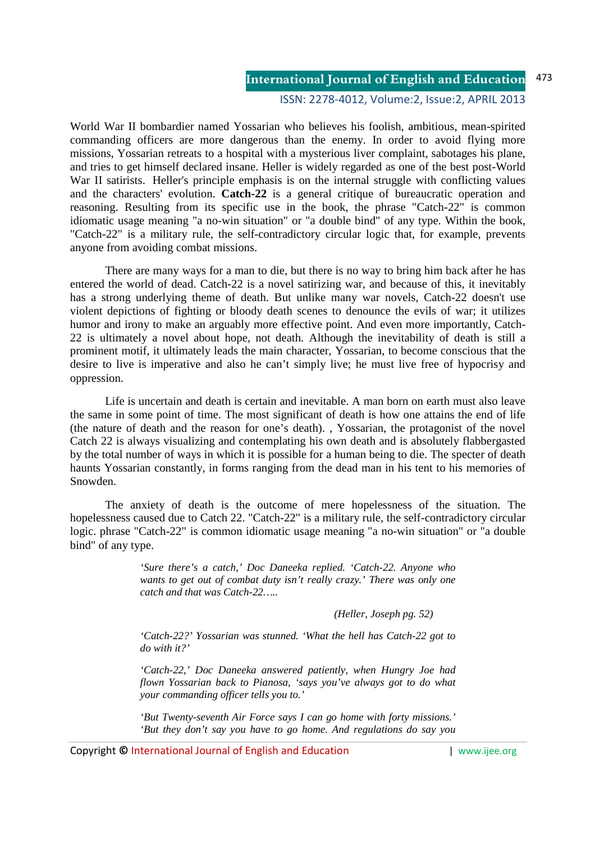## ISSN: 2278-4012, Volume:2, Issue:2, APRIL 2013

World War II bombardier named Yossarian who believes his foolish, ambitious, mean-spirited commanding officers are more dangerous than the enemy. In order to avoid flying more missions, Yossarian retreats to a hospital with a mysterious liver complaint, sabotages his plane, and tries to get himself declared insane. Heller is widely regarded as one of the best post-World War II satirists. Heller's principle emphasis is on the internal struggle with conflicting values and the characters' evolution. **Catch-22** is a general critique of bureaucratic operation and reasoning. Resulting from its specific use in the book, the phrase "Catch-22" is common idiomatic usage meaning "a no-win situation" or "a double bind" of any type. Within the book, "Catch-22" is a military rule, the self-contradictory circular logic that, for example, prevents anyone from avoiding combat missions.

There are many ways for a man to die, but there is no way to bring him back after he has entered the world of dead. Catch-22 is a novel satirizing war, and because of this, it inevitably has a strong underlying theme of death. But unlike many war novels, Catch-22 doesn't use violent depictions of fighting or bloody death scenes to denounce the evils of war; it utilizes humor and irony to make an arguably more effective point. And even more importantly, Catch-22 is ultimately a novel about hope, not death. Although the inevitability of death is still a prominent motif, it ultimately leads the main character, Yossarian, to become conscious that the desire to live is imperative and also he can't simply live; he must live free of hypocrisy and oppression.

Life is uncertain and death is certain and inevitable. A man born on earth must also leave the same in some point of time. The most significant of death is how one attains the end of life (the nature of death and the reason for one's death). , Yossarian, the protagonist of the novel Catch 22 is always visualizing and contemplating his own death and is absolutely flabbergasted by the total number of ways in which it is possible for a human being to die. The specter of death haunts Yossarian constantly, in forms ranging from the dead man in his tent to his memories of Snowden.

The anxiety of death is the outcome of mere hopelessness of the situation. The hopelessness caused due to Catch 22. "Catch-22" is a military rule, the self-contradictory circular logic. phrase "Catch-22" is common idiomatic usage meaning "a no-win situation" or "a double bind" of any type.

> *'Sure there's a catch,' Doc Daneeka replied. 'Catch-22. Anyone who wants to get out of combat duty isn't really crazy.' There was only one catch and that was Catch-22…..*

> > *(Heller, Joseph pg. 52)*

*'Catch-22?' Yossarian was stunned. 'What the hell has Catch-22 got to do with it?'* 

*'Catch-22,' Doc Daneeka answered patiently, when Hungry Joe had flown Yossarian back to Pianosa, 'says you've always got to do what your commanding officer tells you to.'* 

*'But Twenty-seventh Air Force says I can go home with forty missions.' 'But they don't say you have to go home. And regulations do say you*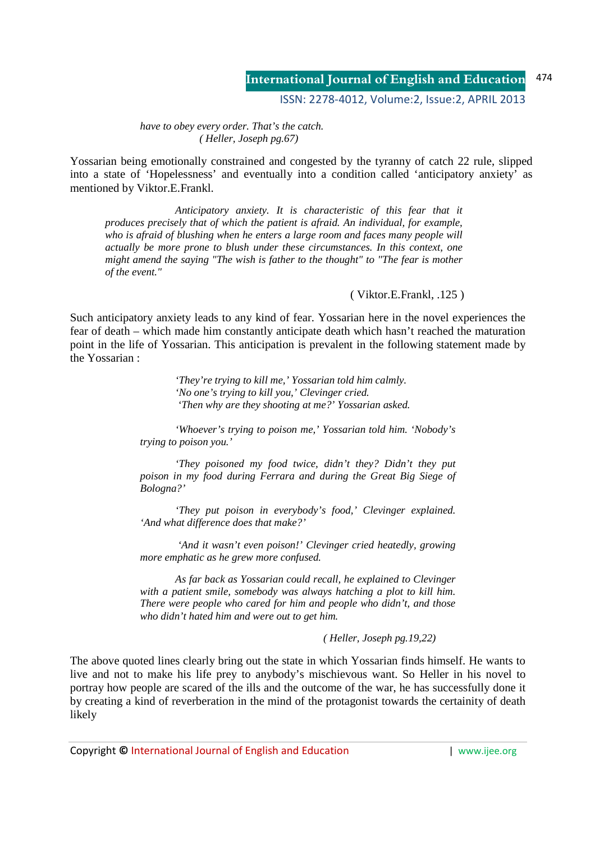ISSN: 2278-4012, Volume:2, Issue:2, APRIL 2013

*have to obey every order. That's the catch. ( Heller, Joseph pg.67)* 

Yossarian being emotionally constrained and congested by the tyranny of catch 22 rule, slipped into a state of 'Hopelessness' and eventually into a condition called 'anticipatory anxiety' as mentioned by Viktor.E.Frankl.

 *Anticipatory anxiety. It is characteristic of this fear that it produces precisely that of which the patient is afraid. An individual, for example, who is afraid of blushing when he enters a large room and faces many people will actually be more prone to blush under these circumstances. In this context, one might amend the saying "The wish is father to the thought" to "The fear is mother of the event."* 

## ( Viktor.E.Frankl, .125 )

Such anticipatory anxiety leads to any kind of fear. Yossarian here in the novel experiences the fear of death – which made him constantly anticipate death which hasn't reached the maturation point in the life of Yossarian. This anticipation is prevalent in the following statement made by the Yossarian :

> *'They're trying to kill me,' Yossarian told him calmly. 'No one's trying to kill you,' Clevinger cried. 'Then why are they shooting at me?' Yossarian asked.*

*'Whoever's trying to poison me,' Yossarian told him. 'Nobody's trying to poison you.'* 

*'They poisoned my food twice, didn't they? Didn't they put poison in my food during Ferrara and during the Great Big Siege of Bologna?'* 

*'They put poison in everybody's food,' Clevinger explained. 'And what difference does that make?'* 

 *'And it wasn't even poison!' Clevinger cried heatedly, growing more emphatic as he grew more confused.* 

*As far back as Yossarian could recall, he explained to Clevinger with a patient smile, somebody was always hatching a plot to kill him. There were people who cared for him and people who didn't, and those who didn't hated him and were out to get him.* 

### *( Heller, Joseph pg.19,22)*

The above quoted lines clearly bring out the state in which Yossarian finds himself. He wants to live and not to make his life prey to anybody's mischievous want. So Heller in his novel to portray how people are scared of the ills and the outcome of the war, he has successfully done it by creating a kind of reverberation in the mind of the protagonist towards the certainity of death likely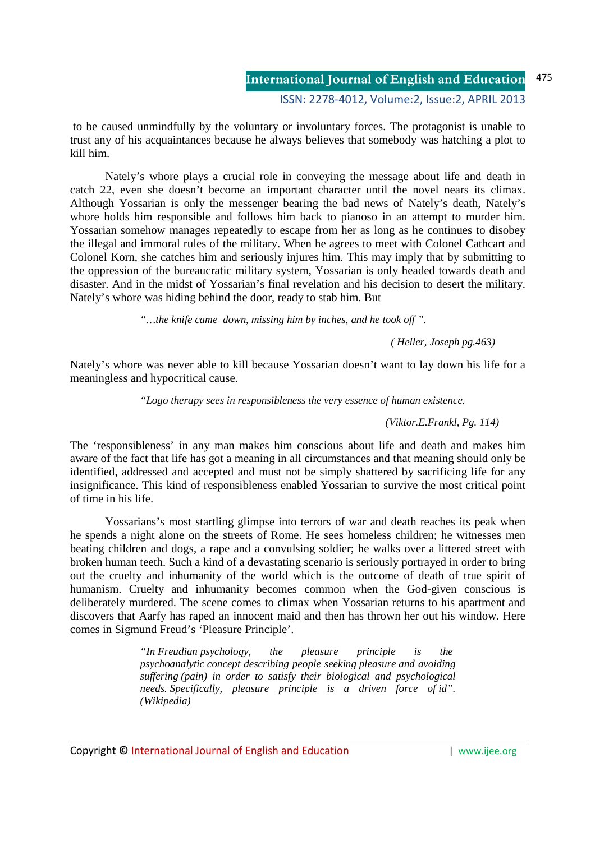ISSN: 2278-4012, Volume:2, Issue:2, APRIL 2013

 to be caused unmindfully by the voluntary or involuntary forces. The protagonist is unable to trust any of his acquaintances because he always believes that somebody was hatching a plot to kill him.

 Nately's whore plays a crucial role in conveying the message about life and death in catch 22, even she doesn't become an important character until the novel nears its climax. Although Yossarian is only the messenger bearing the bad news of Nately's death, Nately's whore holds him responsible and follows him back to pianoso in an attempt to murder him. Yossarian somehow manages repeatedly to escape from her as long as he continues to disobey the illegal and immoral rules of the military. When he agrees to meet with Colonel Cathcart and Colonel Korn, she catches him and seriously injures him. This may imply that by submitting to the oppression of the bureaucratic military system, Yossarian is only headed towards death and disaster. And in the midst of Yossarian's final revelation and his decision to desert the military. Nately's whore was hiding behind the door, ready to stab him. But

*"…the knife came down, missing him by inches, and he took off ".* 

 *( Heller, Joseph pg.463)*

Nately's whore was never able to kill because Yossarian doesn't want to lay down his life for a meaningless and hypocritical cause.

*"Logo therapy sees in responsibleness the very essence of human existence.* 

*(Viktor.E.Frankl, Pg. 114)* 

The 'responsibleness' in any man makes him conscious about life and death and makes him aware of the fact that life has got a meaning in all circumstances and that meaning should only be identified, addressed and accepted and must not be simply shattered by sacrificing life for any insignificance. This kind of responsibleness enabled Yossarian to survive the most critical point of time in his life.

 Yossarians's most startling glimpse into terrors of war and death reaches its peak when he spends a night alone on the streets of Rome. He sees homeless children; he witnesses men beating children and dogs, a rape and a convulsing soldier; he walks over a littered street with broken human teeth. Such a kind of a devastating scenario is seriously portrayed in order to bring out the cruelty and inhumanity of the world which is the outcome of death of true spirit of humanism. Cruelty and inhumanity becomes common when the God-given conscious is deliberately murdered. The scene comes to climax when Yossarian returns to his apartment and discovers that Aarfy has raped an innocent maid and then has thrown her out his window. Here comes in Sigmund Freud's 'Pleasure Principle'.

> *"In Freudian psychology, the pleasure principle is the psychoanalytic concept describing people seeking pleasure and avoiding suffering (pain) in order to satisfy their biological and psychological needs. Specifically, pleasure principle is a driven force of id". (Wikipedia)*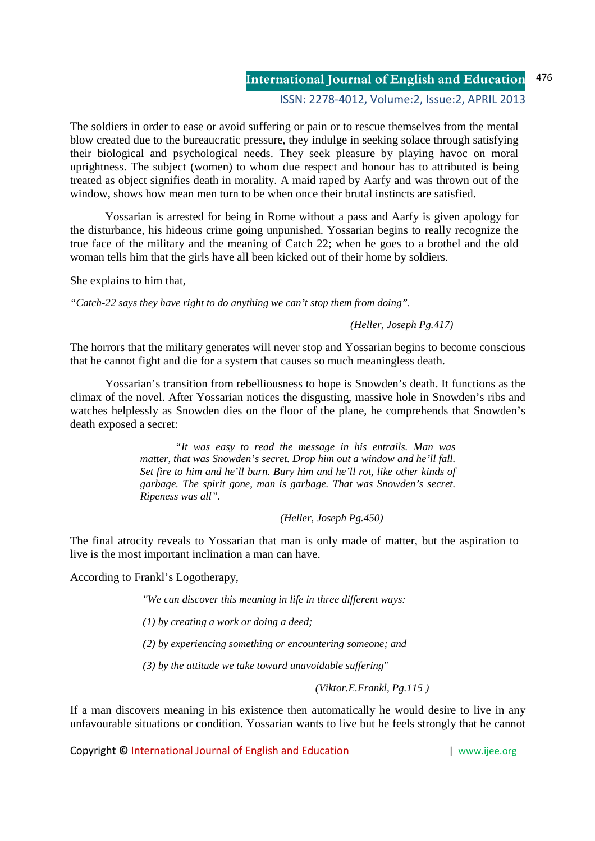# ISSN: 2278-4012, Volume:2, Issue:2, APRIL 2013

The soldiers in order to ease or avoid suffering or pain or to rescue themselves from the mental blow created due to the bureaucratic pressure, they indulge in seeking solace through satisfying their biological and psychological needs. They seek pleasure by playing havoc on moral uprightness. The subject (women) to whom due respect and honour has to attributed is being treated as object signifies death in morality. A maid raped by Aarfy and was thrown out of the window, shows how mean men turn to be when once their brutal instincts are satisfied.

 Yossarian is arrested for being in Rome without a pass and Aarfy is given apology for the disturbance, his hideous crime going unpunished. Yossarian begins to really recognize the true face of the military and the meaning of Catch 22; when he goes to a brothel and the old woman tells him that the girls have all been kicked out of their home by soldiers.

She explains to him that,

*"Catch-22 says they have right to do anything we can't stop them from doing".* 

# *(Heller, Joseph Pg.417)*

The horrors that the military generates will never stop and Yossarian begins to become conscious that he cannot fight and die for a system that causes so much meaningless death.

 Yossarian's transition from rebelliousness to hope is Snowden's death. It functions as the climax of the novel. After Yossarian notices the disgusting, massive hole in Snowden's ribs and watches helplessly as Snowden dies on the floor of the plane, he comprehends that Snowden's death exposed a secret:

> *"It was easy to read the message in his entrails. Man was matter, that was Snowden's secret. Drop him out a window and he'll fall. Set fire to him and he'll burn. Bury him and he'll rot, like other kinds of garbage. The spirit gone, man is garbage. That was Snowden's secret. Ripeness was all".*

> > *(Heller, Joseph Pg.450)*

The final atrocity reveals to Yossarian that man is only made of matter, but the aspiration to live is the most important inclination a man can have.

According to Frankl's Logotherapy,

*"We can discover this meaning in life in three different ways:* 

 *(1) by creating a work or doing a deed;* 

 *(2) by experiencing something or encountering someone; and* 

 *(3) by the attitude we take toward unavoidable suffering"* 

 *(Viktor.E.Frankl, Pg.115 )*

If a man discovers meaning in his existence then automatically he would desire to live in any unfavourable situations or condition. Yossarian wants to live but he feels strongly that he cannot